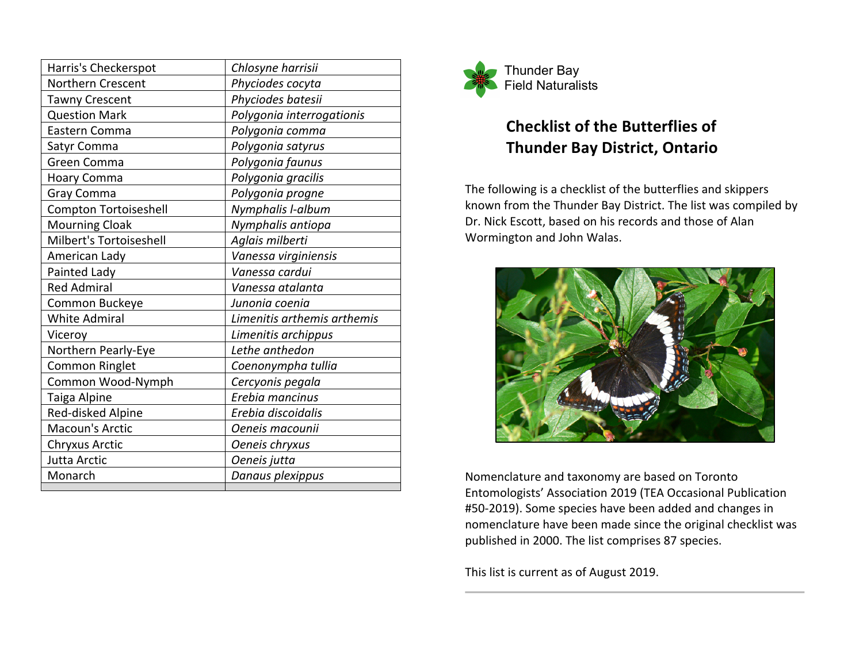| Harris's Checkerspot    | Chlosyne harrisii           |
|-------------------------|-----------------------------|
| Northern Crescent       | Phyciodes cocyta            |
| <b>Tawny Crescent</b>   | Phyciodes batesii           |
| <b>Question Mark</b>    | Polygonia interrogationis   |
| Eastern Comma           | Polygonia comma             |
| Satyr Comma             | Polygonia satyrus           |
| Green Comma             | Polygonia faunus            |
| <b>Hoary Comma</b>      | Polygonia gracilis          |
| Gray Comma              | Polygonia progne            |
| Compton Tortoiseshell   | Nymphalis I-album           |
| <b>Mourning Cloak</b>   | Nymphalis antiopa           |
| Milbert's Tortoiseshell | Aglais milberti             |
| American Lady           | Vanessa virginiensis        |
| Painted Lady            | Vanessa cardui              |
| <b>Red Admiral</b>      | Vanessa atalanta            |
| Common Buckeye          | Junonia coenia              |
| <b>White Admiral</b>    | Limenitis arthemis arthemis |
| Viceroy                 | Limenitis archippus         |
| Northern Pearly-Eye     | Lethe anthedon              |
| <b>Common Ringlet</b>   | Coenonympha tullia          |
| Common Wood-Nymph       | Cercyonis pegala            |
| Taiga Alpine            | Erebia mancinus             |
| Red-disked Alpine       | Erebia discoidalis          |
| Macoun's Arctic         | Oeneis macounii             |
| <b>Chryxus Arctic</b>   | Oeneis chryxus              |
| Jutta Arctic            | Oeneis jutta                |
| Monarch                 | Danaus plexippus            |



## **Checklist of the Butterflies of Thunder Bay District, Ontario**

The following is a checklist of the butterflies and skippers known from the Thunder Bay District. The list was compiled by Dr. Nick Escott, based on his records and those of Alan Wormington and John Walas.



Nomenclature and taxonomy are based on Toronto Entomologists' Association 2019 (TEA Occasional Publication #50-2019). Some species have been added and changes in nomenclature have been made since the original checklist was published in 2000. The list comprises 87 species.

This list is current as of August 2019.